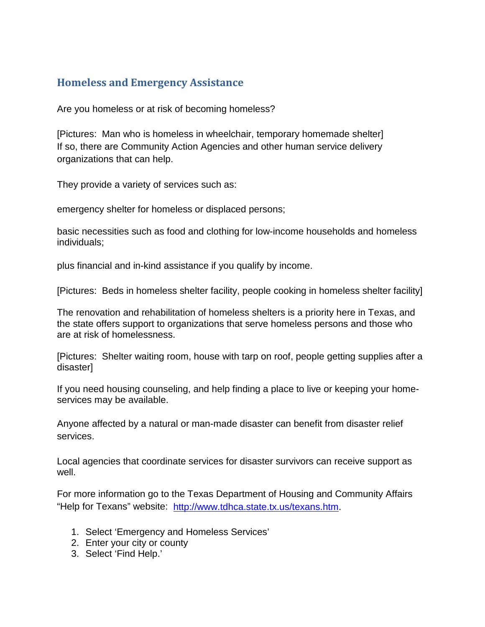## **Homeless and Emergency Assistance**

Are you homeless or at risk of becoming homeless?

[Pictures: Man who is homeless in wheelchair, temporary homemade shelter] If so, there are Community Action Agencies and other human service delivery organizations that can help.

They provide a variety of services such as:

emergency shelter for homeless or displaced persons;

basic necessities such as food and clothing for low-income households and homeless individuals;

plus financial and in-kind assistance if you qualify by income.

[Pictures: Beds in homeless shelter facility, people cooking in homeless shelter facility]

The renovation and rehabilitation of homeless shelters is a priority here in Texas, and the state offers support to organizations that serve homeless persons and those who are at risk of homelessness.

[Pictures: Shelter waiting room, house with tarp on roof, people getting supplies after a disaster]

If you need housing counseling, and help finding a place to live or keeping your homeservices may be available.

Anyone affected by a natural or man-made disaster can benefit from disaster relief services.

Local agencies that coordinate services for disaster survivors can receive support as well.

For more information go to the Texas Department of Housing and Community Affairs "Help for Texans" website: [http://www.tdhca.state.tx.us/texans.htm.](http://www.tdhca.state.tx.us/texans.htm)

- 1. Select 'Emergency and Homeless Services'
- 2. Enter your city or county
- 3. Select 'Find Help.'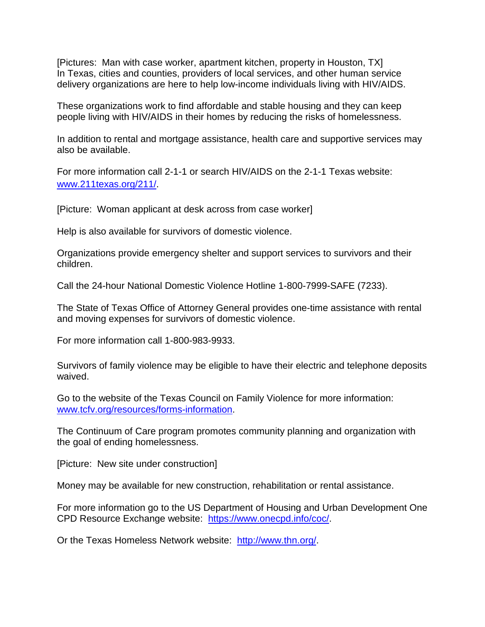[Pictures: Man with case worker, apartment kitchen, property in Houston, TX] In Texas, cities and counties, providers of local services, and other human service delivery organizations are here to help low-income individuals living with HIV/AIDS.

These organizations work to find affordable and stable housing and they can keep people living with HIV/AIDS in their homes by reducing the risks of homelessness.

In addition to rental and mortgage assistance, health care and supportive services may also be available.

For more information call 2-1-1 or search HIV/AIDS on the 2-1-1 Texas website: [www.211texas.org/211/.](http://www.211texas.org/211/)

[Picture: Woman applicant at desk across from case worker]

Help is also available for survivors of domestic violence.

Organizations provide emergency shelter and support services to survivors and their children.

Call the 24-hour National Domestic Violence Hotline 1-800-7999-SAFE (7233).

The State of Texas Office of Attorney General provides one-time assistance with rental and moving expenses for survivors of domestic violence.

For more information call 1-800-983-9933.

Survivors of family violence may be eligible to have their electric and telephone deposits waived.

Go to the website of the Texas Council on Family Violence for more information: [www.tcfv.org/resources/forms-information.](http://www.tcfv.org/resources/forms-information)

The Continuum of Care program promotes community planning and organization with the goal of ending homelessness.

[Picture: New site under construction]

Money may be available for new construction, rehabilitation or rental assistance.

For more information go to the US Department of Housing and Urban Development One CPD Resource Exchange website: [https://www.onecpd.info/coc/.](https://www.onecpd.info/coc/)

Or the Texas Homeless Network website: [http://www.thn.org/.](http://www.thn.org/)